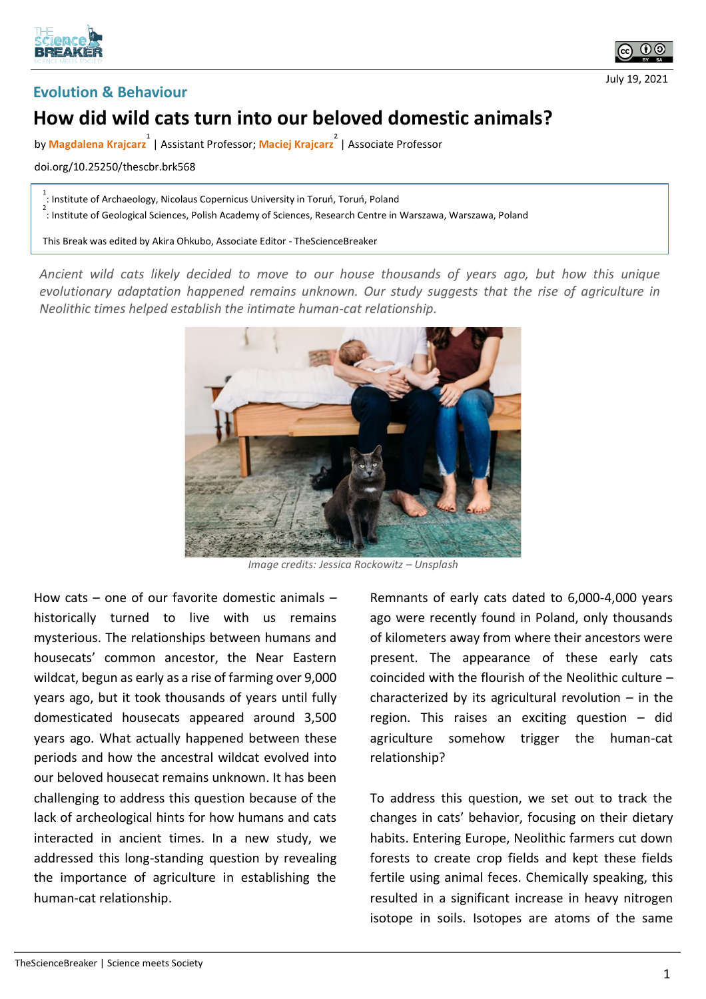





## **How did wild cats turn into our beloved domestic animals?**

by Magdalena Krajcarz<sup>1</sup> | Assistant Professor; Maciej Krajcarz<sup>2</sup> | Associate Professor

doi.org/10.25250/thescbr.brk568

1 : Institute of Archaeology, Nicolaus Copernicus University in Toruń, Toruń, Poland

2 : Institute of Geological Sciences, Polish Academy of Sciences, Research Centre in Warszawa, Warszawa, Poland

This Break was edited by Akira Ohkubo, Associate Editor - TheScienceBreaker

*Ancient wild cats likely decided to move to our house thousands of years ago, but how this unique evolutionary adaptation happened remains unknown. Our study suggests that the rise of agriculture in Neolithic times helped establish the intimate human-cat relationship.* 



*Image credits: Jessica Rockowitz – Unsplash*

How cats – one of our favorite domestic animals – historically turned to live with us remains mysterious. The relationships between humans and housecats' common ancestor, the Near Eastern wildcat, begun as early as a rise of farming over 9,000 years ago, but it took thousands of years until fully domesticated housecats appeared around 3,500 years ago. What actually happened between these periods and how the ancestral wildcat evolved into our beloved housecat remains unknown. It has been challenging to address this question because of the lack of archeological hints for how humans and cats interacted in ancient times. In a new study, we addressed this long-standing question by revealing the importance of agriculture in establishing the human-cat relationship.

Remnants of early cats dated to 6,000-4,000 years ago were recently found in Poland, only thousands of kilometers away from where their ancestors were present. The appearance of these early cats coincided with the flourish of the Neolithic culture – characterized by its agricultural revolution – in the region. This raises an exciting question – did agriculture somehow trigger the human-cat relationship?

To address this question, we set out to track the changes in cats' behavior, focusing on their dietary habits. Entering Europe, Neolithic farmers cut down forests to create crop fields and kept these fields fertile using animal feces. Chemically speaking, this resulted in a significant increase in heavy nitrogen isotope in soils. Isotopes are atoms of the same